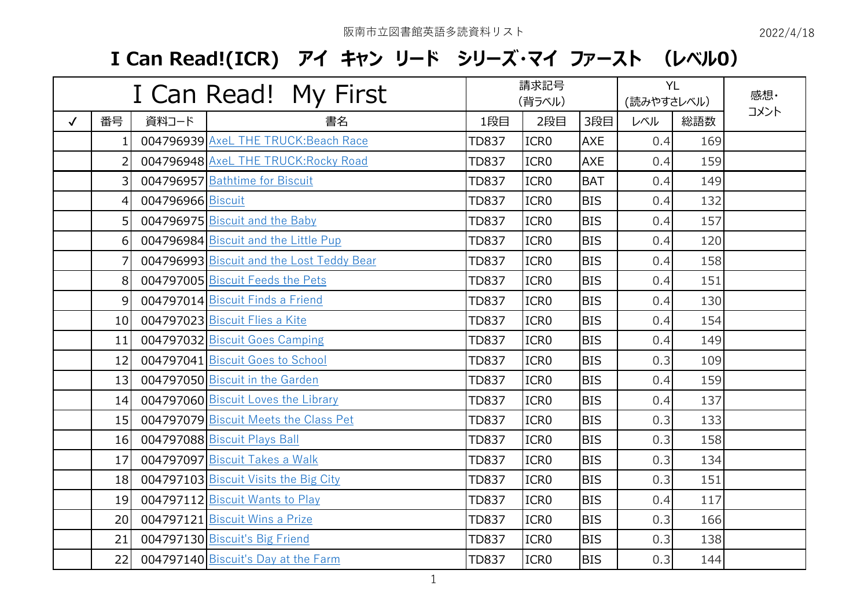| I Can Read! My First |    |                   |                                           |              | 請求記号<br>(背ラベル)   |            |     | <b>YL</b><br>(読みやすさレベル) | 感想·  |
|----------------------|----|-------------------|-------------------------------------------|--------------|------------------|------------|-----|-------------------------|------|
| $\checkmark$         | 番号 | 資料コード             | 書名                                        | 1段目          | 2段目              | 3段目        | レベル | 総語数                     | コメント |
|                      | 1. |                   | 004796939 AxeL THE TRUCK: Beach Race      | <b>TD837</b> | ICR <sub>0</sub> | <b>AXE</b> | 0.4 | 169                     |      |
|                      | 2  |                   | 004796948 AxeL THE TRUCK: Rocky Road      | <b>TD837</b> | ICR <sub>0</sub> | <b>AXE</b> | 0.4 | 159                     |      |
|                      | 3  |                   | 004796957 Bathtime for Biscuit            | <b>TD837</b> | ICR <sub>0</sub> | <b>BAT</b> | 0.4 | 149                     |      |
|                      | 4  | 004796966 Biscuit |                                           | <b>TD837</b> | ICR <sub>0</sub> | <b>BIS</b> | 0.4 | 132                     |      |
|                      | 5  |                   | 004796975 Biscuit and the Baby            | <b>TD837</b> | ICR <sub>0</sub> | <b>BIS</b> | 0.4 | 157                     |      |
|                      | 6  |                   | 004796984 Biscuit and the Little Pup      | <b>TD837</b> | ICR <sub>0</sub> | <b>BIS</b> | 0.4 | 120                     |      |
|                      | 7  |                   | 004796993 Biscuit and the Lost Teddy Bear | <b>TD837</b> | ICR <sub>0</sub> | <b>BIS</b> | 0.4 | 158                     |      |
|                      | 8  |                   | 004797005 Biscuit Feeds the Pets          | <b>TD837</b> | ICR <sub>0</sub> | <b>BIS</b> | 0.4 | 151                     |      |
|                      | 9  |                   | 004797014 Biscuit Finds a Friend          | <b>TD837</b> | ICR <sub>0</sub> | <b>BIS</b> | 0.4 | 130                     |      |
|                      | 10 |                   | 004797023 Biscuit Flies a Kite            | <b>TD837</b> | ICR <sub>0</sub> | <b>BIS</b> | 0.4 | 154                     |      |
|                      | 11 |                   | 004797032 Biscuit Goes Camping            | <b>TD837</b> | ICR <sub>0</sub> | <b>BIS</b> | 0.4 | 149                     |      |
|                      | 12 |                   | 004797041 Biscuit Goes to School          | <b>TD837</b> | ICR <sub>0</sub> | <b>BIS</b> | 0.3 | 109                     |      |
|                      | 13 |                   | 004797050 Biscuit in the Garden           | <b>TD837</b> | ICR <sub>0</sub> | <b>BIS</b> | 0.4 | 159                     |      |
|                      | 14 |                   | 004797060 Biscuit Loves the Library       | <b>TD837</b> | ICR <sub>0</sub> | <b>BIS</b> | 0.4 | 137                     |      |
|                      | 15 |                   | 004797079 Biscuit Meets the Class Pet     | <b>TD837</b> | ICR <sub>0</sub> | <b>BIS</b> | 0.3 | 133                     |      |
|                      | 16 |                   | 004797088 Biscuit Plays Ball              | <b>TD837</b> | ICR <sub>0</sub> | <b>BIS</b> | 0.3 | 158                     |      |
|                      | 17 |                   | 004797097 Biscuit Takes a Walk            | <b>TD837</b> | ICR <sub>0</sub> | <b>BIS</b> | 0.3 | 134                     |      |
|                      | 18 |                   | 004797103 Biscuit Visits the Big City     | <b>TD837</b> | ICR <sub>0</sub> | <b>BIS</b> | 0.3 | 151                     |      |
|                      | 19 |                   | 004797112 Biscuit Wants to Play           | <b>TD837</b> | ICR <sub>0</sub> | <b>BIS</b> | 0.4 | 117                     |      |
|                      | 20 |                   | 004797121 Biscuit Wins a Prize            | <b>TD837</b> | ICR <sub>0</sub> | <b>BIS</b> | 0.3 | 166                     |      |
|                      | 21 |                   | 004797130 Biscuit's Big Friend            | <b>TD837</b> | ICR <sub>0</sub> | <b>BIS</b> | 0.3 | 138                     |      |
|                      | 22 |                   | 004797140 Biscuit's Day at the Farm       | <b>TD837</b> | ICR <sub>0</sub> | <b>BIS</b> | 0.3 | 144                     |      |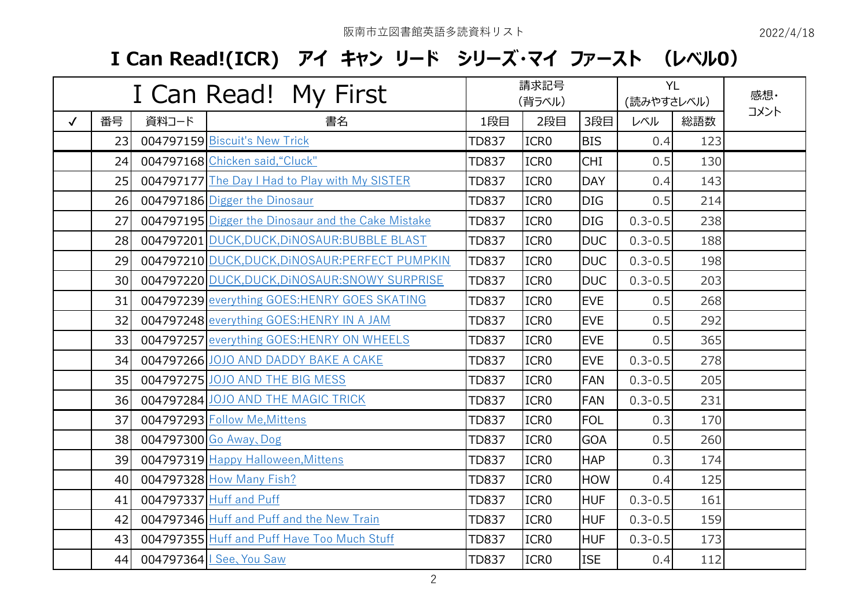|              | I Can Read! My First |       |                                                           |              | 請求記号<br>(背ラベル)   |            |             | <b>YL</b><br>(読みやすさレベル) | 感想·  |
|--------------|----------------------|-------|-----------------------------------------------------------|--------------|------------------|------------|-------------|-------------------------|------|
| $\checkmark$ | 番号                   | 資料コード | 書名                                                        | 1段目          | 2段目              | 3段目        | レベル         | 総語数                     | コメント |
|              | 23                   |       | 004797159 Biscuit's New Trick                             | <b>TD837</b> | ICR <sub>0</sub> | <b>BIS</b> | 0.4         | 123                     |      |
|              | 24                   |       | 004797168 Chicken said, "Cluck"                           | <b>TD837</b> | ICR <sub>0</sub> | <b>CHI</b> | 0.5         | 130                     |      |
|              | 25                   |       | 004797177 The Day I Had to Play with My SISTER            | <b>TD837</b> | ICR <sub>0</sub> | <b>DAY</b> | 0.4         | 143                     |      |
|              | 26                   |       | 004797186 Digger the Dinosaur                             | <b>TD837</b> | ICR <sub>0</sub> | <b>DIG</b> | 0.5         | 214                     |      |
|              | 27                   |       | <b>004797195</b> Digger the Dinosaur and the Cake Mistake | <b>TD837</b> | ICR <sub>0</sub> | <b>DIG</b> | $0.3 - 0.5$ | 238                     |      |
|              | 28                   |       | 004797201 DUCK, DUCK, DINOSAUR: BUBBLE BLAST              | <b>TD837</b> | ICR <sub>0</sub> | <b>DUC</b> | $0.3 - 0.5$ | 188                     |      |
|              | 29                   |       | 004797210 DUCK, DUCK, DINOSAUR: PERFECT PUMPKIN           | <b>TD837</b> | ICR <sub>0</sub> | <b>DUC</b> | $0.3 - 0.5$ | 198                     |      |
|              | 30                   |       | 004797220 DUCK, DUCK, DINOSAUR: SNOWY SURPRISE            | <b>TD837</b> | ICR <sub>0</sub> | <b>DUC</b> | $0.3 - 0.5$ | 203                     |      |
|              | 31                   |       | 004797239 everything GOES: HENRY GOES SKATING             | <b>TD837</b> | ICR <sub>0</sub> | <b>EVE</b> | 0.5         | 268                     |      |
|              | 32                   |       | 004797248 everything GOES: HENRY IN A JAM                 | <b>TD837</b> | ICR <sub>0</sub> | <b>EVE</b> | 0.5         | 292                     |      |
|              | 33                   |       | 004797257 everything GOES: HENRY ON WHEELS                | <b>TD837</b> | ICR <sub>0</sub> | <b>EVE</b> | 0.5         | 365                     |      |
|              | 34                   |       | 004797266 JOJO AND DADDY BAKE A CAKE                      | <b>TD837</b> | ICR <sub>0</sub> | <b>EVE</b> | $0.3 - 0.5$ | 278                     |      |
|              | 35                   |       | 004797275 JOJO AND THE BIG MESS                           | <b>TD837</b> | ICR <sub>0</sub> | <b>FAN</b> | $0.3 - 0.5$ | 205                     |      |
|              | 36                   |       | 004797284 JOJO AND THE MAGIC TRICK                        | <b>TD837</b> | ICR <sub>0</sub> | <b>FAN</b> | $0.3 - 0.5$ | 231                     |      |
|              | 37                   |       | 004797293 Follow Me, Mittens                              | <b>TD837</b> | ICR <sub>0</sub> | <b>FOL</b> | 0.3         | 170                     |      |
|              | 38                   |       | 004797300 Go Away, Dog                                    | <b>TD837</b> | ICR <sub>0</sub> | <b>GOA</b> | 0.5         | 260                     |      |
|              | 39                   |       | 004797319 Happy Halloween, Mittens                        | <b>TD837</b> | ICR <sub>0</sub> | <b>HAP</b> | 0.3         | 174                     |      |
|              | 40                   |       | 004797328 How Many Fish?                                  | <b>TD837</b> | ICR <sub>0</sub> | <b>HOW</b> | 0.4         | 125                     |      |
|              | 41                   |       | 004797337 Huff and Puff                                   | <b>TD837</b> | ICR <sub>0</sub> | <b>HUF</b> | $0.3 - 0.5$ | 161                     |      |
|              | 42                   |       | 004797346 Huff and Puff and the New Train                 | <b>TD837</b> | ICR <sub>0</sub> | <b>HUF</b> | $0.3 - 0.5$ | 159                     |      |
|              | 43                   |       | 004797355 Huff and Puff Have Too Much Stuff               | <b>TD837</b> | ICR <sub>0</sub> | <b>HUF</b> | $0.3 - 0.5$ | 173                     |      |
|              | 44                   |       | 004797364   See, You Saw                                  | <b>TD837</b> | ICR <sub>0</sub> | <b>ISE</b> | 0.4         | 112                     |      |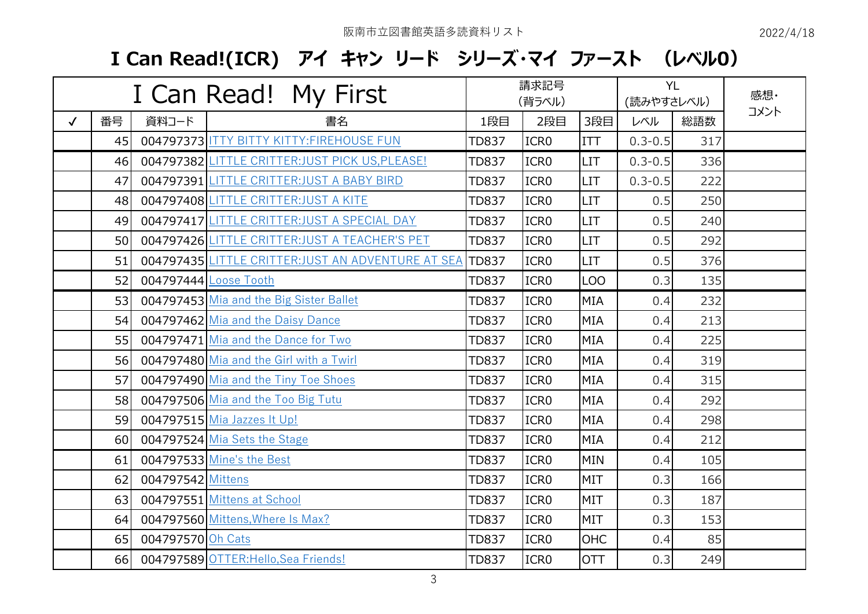|              | I Can Read! My First |                   |                                                         |              | 請求記号<br>(背ラベル)   |            |             | <b>YL</b><br>(読みやすさレベル) | 感想·  |
|--------------|----------------------|-------------------|---------------------------------------------------------|--------------|------------------|------------|-------------|-------------------------|------|
| $\checkmark$ | 番号                   | 資料コード             | 書名                                                      | 1段目          | 2段目              | 3段目        | レベル         | 総語数                     | コメント |
|              | 45                   |                   | 004797373 ITTY BITTY KITTY: FIREHOUSE FUN               | <b>TD837</b> | ICR <sub>0</sub> | <b>ITT</b> | $0.3 - 0.5$ | 317                     |      |
|              | 46                   |                   | 004797382 LITTLE CRITTER: JUST PICK US, PLEASE!         | <b>TD837</b> | ICR <sub>0</sub> | <b>LIT</b> | $0.3 - 0.5$ | 336                     |      |
|              | 47                   |                   | 004797391 LITTLE CRITTER: JUST A BABY BIRD              | <b>TD837</b> | ICR <sub>0</sub> | LIT        | $0.3 - 0.5$ | 222                     |      |
|              | 48                   |                   | 004797408 LITTLE CRITTER: JUST A KITE                   | <b>TD837</b> | ICR <sub>0</sub> | <b>LIT</b> | 0.5         | 250                     |      |
|              | 49                   |                   | 004797417 LITTLE CRITTER: JUST A SPECIAL DAY            | <b>TD837</b> | ICR <sub>0</sub> | <b>LIT</b> | 0.5         | 240                     |      |
|              | 50                   |                   | 004797426 LITTLE CRITTER: JUST A TEACHER'S PET          | <b>TD837</b> | ICR <sub>0</sub> | <b>LIT</b> | 0.5         | 292                     |      |
|              | 51                   |                   | 004797435 LITTLE CRITTER:JUST AN ADVENTURE AT SEA TD837 |              | ICR <sub>0</sub> | <b>LIT</b> | 0.5         | 376                     |      |
|              | 52                   |                   | 004797444 Loose Tooth                                   | <b>TD837</b> | ICR <sub>0</sub> | <b>LOO</b> | 0.3         | 135                     |      |
|              | 53                   |                   | 004797453 Mia and the Big Sister Ballet                 | <b>TD837</b> | ICR <sub>0</sub> | <b>MIA</b> | 0.4         | 232                     |      |
|              | 54                   |                   | 004797462 Mia and the Daisy Dance                       | <b>TD837</b> | ICR <sub>0</sub> | <b>MIA</b> | 0.4         | 213                     |      |
|              | 55                   |                   | 004797471 Mia and the Dance for Two                     | <b>TD837</b> | ICR <sub>0</sub> | <b>MIA</b> | 0.4         | 225                     |      |
|              | 56                   |                   | 004797480 Mia and the Girl with a Twirl                 | <b>TD837</b> | ICR <sub>0</sub> | <b>MIA</b> | 0.4         | 319                     |      |
|              | 57                   |                   | 004797490 Mia and the Tiny Toe Shoes                    | <b>TD837</b> | ICR <sub>0</sub> | <b>MIA</b> | 0.4         | 315                     |      |
|              | 58                   |                   | 004797506 Mia and the Too Big Tutu                      | <b>TD837</b> | ICR <sub>0</sub> | <b>MIA</b> | 0.4         | 292                     |      |
|              | 59                   |                   | 004797515 Mia Jazzes It Up!                             | <b>TD837</b> | ICR <sub>0</sub> | <b>MIA</b> | 0.4         | 298                     |      |
|              | 60                   |                   | 004797524 Mia Sets the Stage                            | <b>TD837</b> | ICR <sub>0</sub> | <b>MIA</b> | 0.4         | 212                     |      |
|              | 61                   |                   | 004797533 Mine's the Best                               | <b>TD837</b> | ICR <sub>0</sub> | <b>MIN</b> | 0.4         | 105                     |      |
|              | 62                   | 004797542 Mittens |                                                         | <b>TD837</b> | ICR <sub>0</sub> | <b>MIT</b> | 0.3         | 166                     |      |
|              | 63                   |                   | 004797551 Mittens at School                             | <b>TD837</b> | ICR <sub>0</sub> | <b>MIT</b> | 0.3         | 187                     |      |
|              | 64                   |                   | 004797560 Mittens, Where Is Max?                        | <b>TD837</b> | ICR <sub>0</sub> | <b>MIT</b> | 0.3         | 153                     |      |
|              | 65                   | 004797570 Oh Cats |                                                         | <b>TD837</b> | ICR <sub>0</sub> | <b>OHC</b> | 0.4         | 85                      |      |
|              | 66                   |                   | 004797589 OTTER: Hello, Sea Friends!                    | <b>TD837</b> | ICR <sub>0</sub> | <b>OTT</b> | 0.3         | 249                     |      |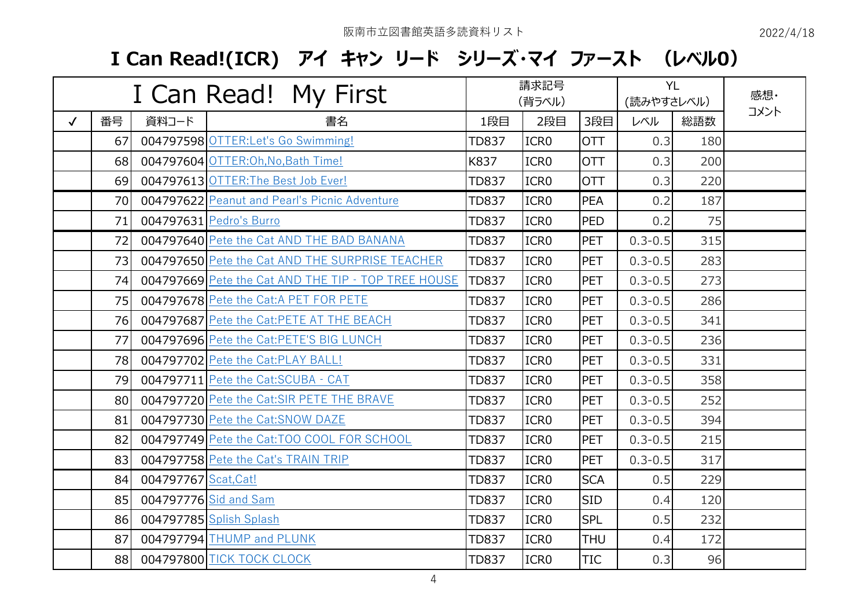|              | I Can Read! My First |                      |                                                     |              | 請求記号<br>(背ラベル)   |            |             | <b>YL</b><br>(読みやすさレベル) | 感想·  |
|--------------|----------------------|----------------------|-----------------------------------------------------|--------------|------------------|------------|-------------|-------------------------|------|
| $\checkmark$ | 番号                   | 資料コード                | 書名                                                  | 1段目          | 2段目              | 3段目        | レベル         | 総語数                     | コメント |
|              | 67                   |                      | 004797598 OTTER: Let's Go Swimming!                 | <b>TD837</b> | ICR <sub>0</sub> | <b>OTT</b> | 0.3         | 180                     |      |
|              | 68                   |                      | 004797604 OTTER: Oh, No, Bath Time!                 | K837         | ICR <sub>0</sub> | <b>OTT</b> | 0.3         | 200                     |      |
|              | 69                   |                      | 004797613 OTTER: The Best Job Ever!                 | <b>TD837</b> | ICR <sub>0</sub> | <b>OTT</b> | 0.3         | 220                     |      |
|              | 70                   |                      | 004797622 Peanut and Pearl's Picnic Adventure       | TD837        | ICR <sub>0</sub> | <b>PEA</b> | 0.2         | 187                     |      |
|              | 71                   |                      | 004797631 Pedro's Burro                             | <b>TD837</b> | ICR <sub>0</sub> | <b>PED</b> | 0.2         | 75                      |      |
|              | 72                   |                      | 004797640 Pete the Cat AND THE BAD BANANA           | <b>TD837</b> | ICR <sub>0</sub> | PET        | $0.3 - 0.5$ | 315                     |      |
|              | 73                   |                      | 004797650 Pete the Cat AND THE SURPRISE TEACHER     | <b>TD837</b> | ICR <sub>0</sub> | PET        | $0.3 - 0.5$ | 283                     |      |
|              | 74                   |                      | 004797669 Pete the Cat AND THE TIP - TOP TREE HOUSE | <b>TD837</b> | ICR <sub>0</sub> | PET        | $0.3 - 0.5$ | 273                     |      |
|              | 75                   |                      | 004797678 Pete the Cat:A PET FOR PETE               | <b>TD837</b> | ICR <sub>0</sub> | <b>PET</b> | $0.3 - 0.5$ | 286                     |      |
|              | 76                   |                      | 004797687 Pete the Cat:PETE AT THE BEACH            | TD837        | ICR <sub>0</sub> | PET        | $0.3 - 0.5$ | 341                     |      |
|              | 77                   |                      | 004797696 Pete the Cat:PETE'S BIG LUNCH             | <b>TD837</b> | ICR <sub>0</sub> | <b>PET</b> | $0.3 - 0.5$ | 236                     |      |
|              | 78                   |                      | 004797702 Pete the Cat:PLAY BALL!                   | <b>TD837</b> | ICR <sub>0</sub> | PET        | $0.3 - 0.5$ | 331                     |      |
|              | 79                   |                      | 004797711 Pete the Cat:SCUBA - CAT                  | <b>TD837</b> | ICR <sub>0</sub> | <b>PET</b> | $0.3 - 0.5$ | 358                     |      |
|              | 80                   |                      | 004797720 Pete the Cat:SIR PETE THE BRAVE           | <b>TD837</b> | ICR <sub>0</sub> | PET        | $0.3 - 0.5$ | 252                     |      |
|              | 81                   |                      | 004797730 Pete the Cat: SNOW DAZE                   | <b>TD837</b> | ICR <sub>0</sub> | <b>PET</b> | $0.3 - 0.5$ | 394                     |      |
|              | 82                   |                      | 004797749 Pete the Cat:TOO COOL FOR SCHOOL          | <b>TD837</b> | ICR <sub>0</sub> | PET        | $0.3 - 0.5$ | 215                     |      |
|              | 83                   |                      | 004797758 Pete the Cat's TRAIN TRIP                 | <b>TD837</b> | ICR <sub>0</sub> | PET        | $0.3 - 0.5$ | 317                     |      |
|              | 84                   | 004797767 Scat, Cat! |                                                     | <b>TD837</b> | ICR <sub>0</sub> | <b>SCA</b> | 0.5         | 229                     |      |
|              | 85                   |                      | 004797776 Sid and Sam                               | <b>TD837</b> | ICR <sub>0</sub> | <b>SID</b> | 0.4         | 120                     |      |
|              | 86                   |                      | 004797785 Splish Splash                             | <b>TD837</b> | ICR <sub>0</sub> | <b>SPL</b> | 0.5         | 232                     |      |
|              | 87                   |                      | 004797794 THUMP and PLUNK                           | <b>TD837</b> | ICR <sub>0</sub> | <b>THU</b> | 0.4         | 172                     |      |
|              | 88                   |                      | 004797800 TICK TOCK CLOCK                           | <b>TD837</b> | ICR <sub>0</sub> | TIC        | 0.3         | 96                      |      |